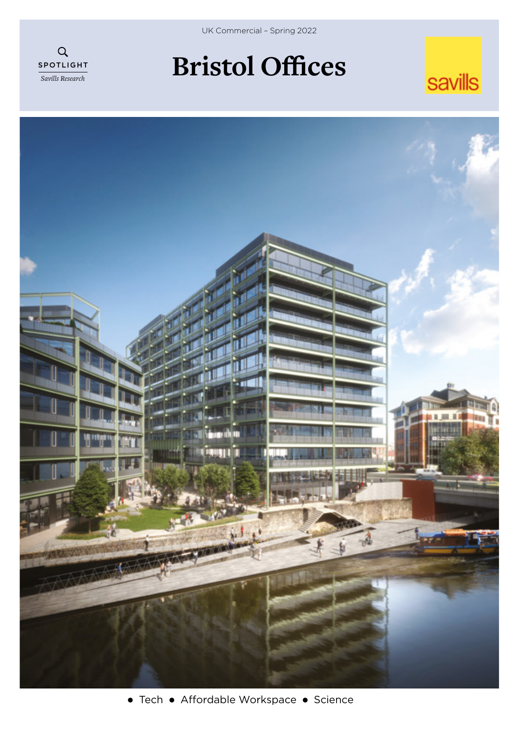

UK Commercial – Spring 2022

# **Bristol Offices**



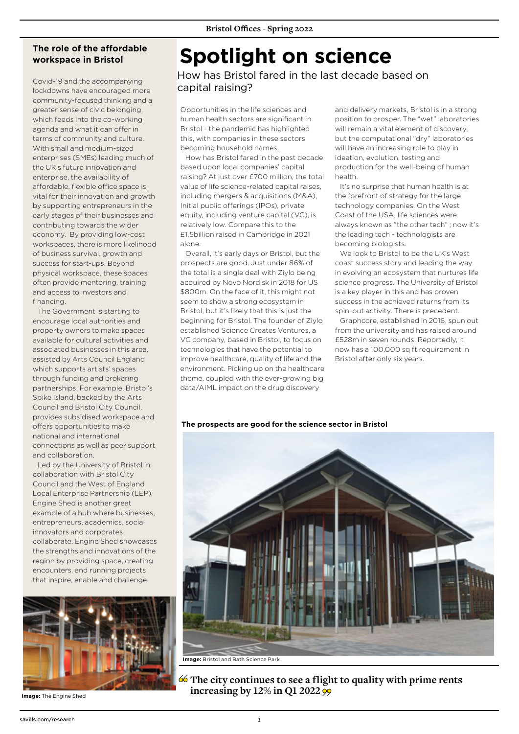### **The role of the affordable workspace in Bristol**

Covid-19 and the accompanying lockdowns have encouraged more community-focused thinking and a greater sense of civic belonging, which feeds into the co-working agenda and what it can offer in terms of community and culture. With small and medium-sized enterprises (SMEs) leading much of the UK's future innovation and enterprise, the availability of affordable, flexible office space is vital for their innovation and growth by supporting entrepreneurs in the early stages of their businesses and contributing towards the wider economy. By providing low-cost workspaces, there is more likelihood of business survival, growth and success for start-ups. Beyond physical workspace, these spaces often provide mentoring, training and access to investors and financing.

The Government is starting to encourage local authorities and property owners to make spaces available for cultural activities and associated businesses in this area, assisted by Arts Council England which supports artists' spaces through funding and brokering partnerships. For example, Bristol's Spike Island, backed by the Arts Council and Bristol City Council, provides subsidised workspace and offers opportunities to make national and international connections as well as peer support and collaboration.

Led by the University of Bristol in collaboration with Bristol City Council and the West of England Local Enterprise Partnership (LEP), Engine Shed is another great example of a hub where businesses, entrepreneurs, academics, social innovators and corporates collaborate. Engine Shed showcases the strengths and innovations of the region by providing space, creating encounters, and running projects that inspire, enable and challenge.



**Image:** The Engine Shed

# **Spotlight on science**

How has Bristol fared in the last decade based on capital raising?

Opportunities in the life sciences and human health sectors are significant in Bristol - the pandemic has highlighted this, with companies in these sectors becoming household names.

How has Bristol fared in the past decade based upon local companies' capital raising? At just over £700 million, the total value of life science-related capital raises, including mergers & acquisitions (M&A), Initial public offerings (IPOs), private equity, including venture capital (VC), is relatively low. Compare this to the £1.5billion raised in Cambridge in 2021 alone.

Overall, it's early days or Bristol, but the prospects are good. Just under 86% of the total is a single deal with Ziylo being acquired by Novo Nordisk in 2018 for US \$800m. On the face of it, this might not seem to show a strong ecosystem in Bristol, but it's likely that this is just the beginning for Bristol. The founder of Ziylo established Science Creates Ventures, a VC company, based in Bristol, to focus on technologies that have the potential to improve healthcare, quality of life and the environment. Picking up on the healthcare theme, coupled with the ever-growing big data/AIML impact on the drug discovery

and delivery markets, Bristol is in a strong position to prosper. The "wet" laboratories will remain a vital element of discovery, but the computational "dry" laboratories will have an increasing role to play in ideation, evolution, testing and production for the well-being of human health.

It's no surprise that human health is at the forefront of strategy for the large technology companies. On the West Coast of the USA, life sciences were always known as "the other tech" ; now it's the leading tech - technologists are becoming biologists.

We look to Bristol to be the UK's West coast success story and leading the way in evolving an ecosystem that nurtures life science progress. The University of Bristol is a key player in this and has proven success in the achieved returns from its spin-out activity. There is precedent.

Graphcore, established in 2016, spun out from the university and has raised around £528m in seven rounds. Reportedly, it now has a 100,000 sq ft requirement in Bristol after only six years.

### **The prospects are good for the science sector in Bristol**



**The city continues to see a flight to quality with prime rents increasing by 12% in Q1 2022**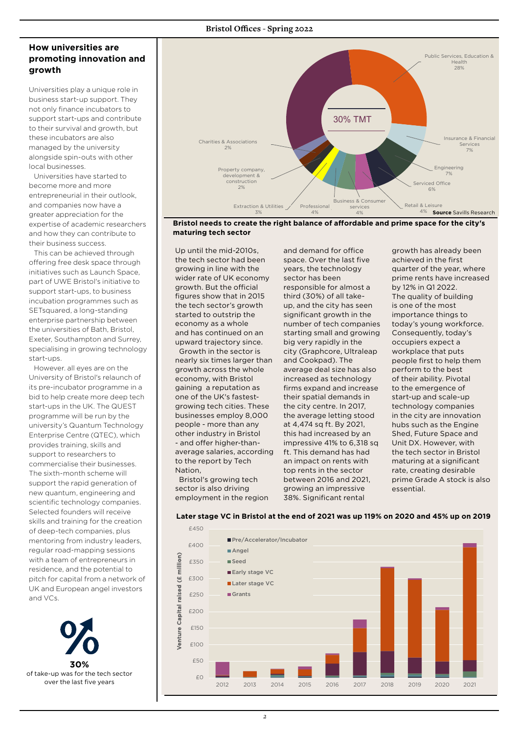### **How universities are promoting innovation and growth**

Universities play a unique role in business start-up support. They not only finance incubators to support start-ups and contribute to their survival and growth, but these incubators are also managed by the university alongside spin-outs with other local businesses.

Universities have started to become more and more entrepreneurial in their outlook, and companies now have a greater appreciation for the expertise of academic researchers and how they can contribute to their business success.

This can be achieved through offering free desk space through initiatives such as Launch Space, part of UWE Bristol's initiative to support start-ups, to business incubation programmes such as SETsquared, a long-standing enterprise partnership between the universities of Bath, Bristol, Exeter, Southampton and Surrey, specialising in growing technology start-ups.

However. all eyes are on the University of Bristol's relaunch of its pre-incubator programme in a bid to help create more deep tech start-ups in the UK. The QUEST programme will be run by the university's Quantum Technology Enterprise Centre (QTEC), which provides training, skills and support to researchers to commercialise their businesses. The sixth-month scheme will support the rapid generation of new quantum, engineering and scientific technology companies. Selected founders will receive skills and training for the creation of deep-tech companies, plus mentoring from industry leaders, regular road-mapping sessions with a team of entrepreneurs in residence, and the potential to pitch for capital from a network of UK and European angel investors and VCs.





**Bristol needs to create the right balance of affordable and prime space for the city's maturing tech sector** 

Up until the mid-2010s, the tech sector had been growing in line with the wider rate of UK economy growth. But the official figures show that in 2015 the tech sector's growth started to outstrip the economy as a whole and has continued on an upward trajectory since.

 Growth in the sector is nearly six times larger than growth across the whole economy, with Bristol gaining a reputation as one of the UK's fastestgrowing tech cities. These businesses employ 8,000 people - more than any other industry in Bristol - and offer higher-thanaverage salaries, according to the report by Tech Nation,

 Bristol's growing tech sector is also driving employment in the region and demand for office space. Over the last five years, the technology sector has been responsible for almost a third (30%) of all takeup, and the city has seen significant growth in the number of tech companies starting small and growing big very rapidly in the city (Graphcore, Ultraleap and Cookpad). The average deal size has also increased as technology firms expand and increase their spatial demands in the city centre. In 2017, the average letting stood at 4,474 sq ft. By 2021, this had increased by an impressive 41% to 6,318 sq ft. This demand has had an impact on rents with top rents in the sector between 2016 and 2021, growing an impressive 38%. Significant rental

growth has already been achieved in the first quarter of the year, where prime rents have increased by 12% in Q1 2022. The quality of building is one of the most importance things to today's young workforce. Consequently, today's occupiers expect a workplace that puts people first to help them perform to the best of their ability. Pivotal to the emergence of start-up and scale-up technology companies in the city are innovation hubs such as the Engine Shed, Future Space and Unit DX. However, with the tech sector in Bristol maturing at a significant rate, creating desirable prime Grade A stock is also essential.



### **Later stage VC in Bristol at the end of 2021 was up 119% on 2020 and 45% up on 2019**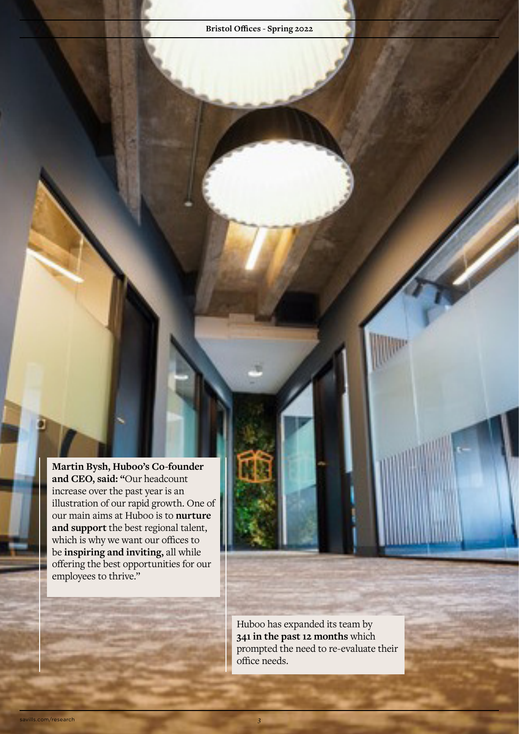**Martin Bysh, Huboo's Co-founder and CEO, said: "**Our headcount increase over the past year is an illustration of our rapid growth. One of our main aims at Huboo is to **nurture and support** the best regional talent, which is why we want our offices to be **inspiring and inviting,** all while offering the best opportunities for our employees to thrive."

> Huboo has expanded its team by **341 in the past 12 months** which prompted the need to re-evaluate their office needs.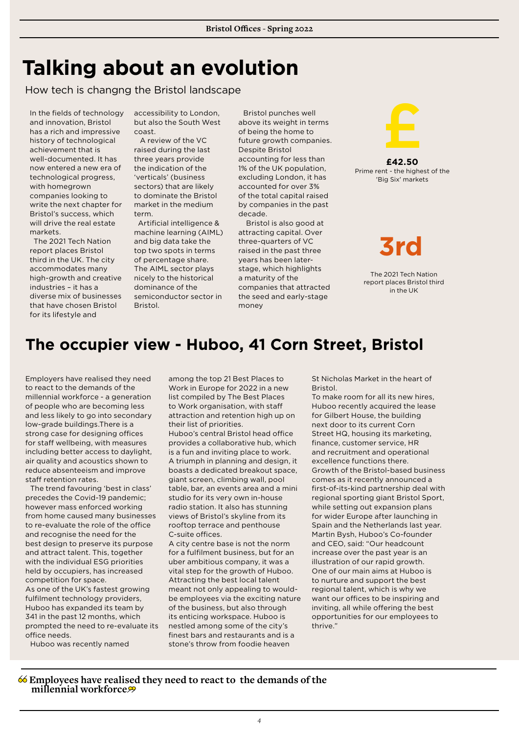## **Talking about an evolution**

How tech is changng the Bristol landscape

In the fields of technology and innovation, Bristol has a rich and impressive history of technological achievement that is well-documented. It has now entered a new era of technological progress, with homegrown companies looking to write the next chapter for Bristol's success, which will drive the real estate markets.

 The 2021 Tech Nation report places Bristol third in the UK. The city accommodates many high-growth and creative industries – it has a diverse mix of businesses that have chosen Bristol for its lifestyle and

accessibility to London, but also the South West coast.

 A review of the VC raised during the last three years provide the indication of the 'verticals' (business sectors) that are likely to dominate the Bristol market in the medium term.

 Artificial intelligence & machine learning (AIML) and big data take the top two spots in terms of percentage share. The AIML sector plays nicely to the historical dominance of the semiconductor sector in **Bristol** 

Bristol punches well above its weight in terms of being the home to future growth companies. Despite Bristol accounting for less than 1% of the UK population, excluding London, it has accounted for over 3% of the total capital raised by companies in the past decade.

 Bristol is also good at attracting capital. Over three-quarters of VC raised in the past three years has been laterstage, which highlights a maturity of the companies that attracted the seed and early-stage money



**£42.50** Prime rent - the highest of the 'Big Six' markets

**3rd**

The 2021 Tech Nation report places Bristol third in the UK

### **The occupier view - Huboo, 41 Corn Street, Bristol**

Employers have realised they need to react to the demands of the millennial workforce - a generation of people who are becoming less and less likely to go into secondary low-grade buildings.There is a strong case for designing offices for staff wellbeing, with measures including better access to daylight, air quality and acoustics shown to reduce absenteeism and improve staff retention rates.

The trend favouring 'best in class' precedes the Covid-19 pandemic; however mass enforced working from home caused many businesses to re-evaluate the role of the office and recognise the need for the best design to preserve its purpose and attract talent. This, together with the individual ESG priorities held by occupiers, has increased competition for space. As one of the UK's fastest growing fulfilment technology providers, Huboo has expanded its team by 341 in the past 12 months, which prompted the need to re-evaluate its office needs.

Huboo was recently named

among the top 21 Best Places to Work in Europe for 2022 in a new list compiled by The Best Places to Work organisation, with staff attraction and retention high up on their list of priorities.

Huboo's central Bristol head office provides a collaborative hub, which is a fun and inviting place to work. A triumph in planning and design, it boasts a dedicated breakout space, giant screen, climbing wall, pool table, bar, an events area and a mini studio for its very own in-house radio station. It also has stunning views of Bristol's skyline from its rooftop terrace and penthouse C-suite offices.

A city centre base is not the norm for a fulfilment business, but for an uber ambitious company, it was a vital step for the growth of Huboo. Attracting the best local talent meant not only appealing to wouldbe employees via the exciting nature of the business, but also through its enticing workspace. Huboo is nestled among some of the city's finest bars and restaurants and is a stone's throw from foodie heaven

St Nicholas Market in the heart of Bristol.

To make room for all its new hires, Huboo recently acquired the lease for Gilbert House, the building next door to its current Corn Street HQ, housing its marketing, finance, customer service, HR and recruitment and operational excellence functions there. Growth of the Bristol-based business comes as it recently announced a first-of-its-kind partnership deal with regional sporting giant Bristol Sport, while setting out expansion plans for wider Europe after launching in Spain and the Netherlands last year. Martin Bysh, Huboo's Co-founder and CEO, said: "Our headcount increase over the past year is an illustration of our rapid growth. One of our main aims at Huboo is to nurture and support the best regional talent, which is why we want our offices to be inspiring and inviting, all while offering the best opportunities for our employees to thrive."

### **Employees have realised they need to react to the demands of the millennial workforce**